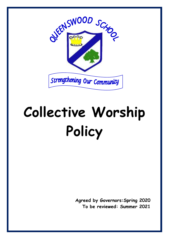

# **Collective Worship Policy**

**Agreed by Governors:Spring 2020 To be reviewed: Summer 2021**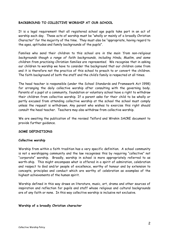# **BACKGROUND TO COLLECTIVE WORSHIP AT OUR SCHOOL**

It is a legal requirement that all registered school age pupils take part in an act of worship each day. These acts of worship must be "wholly or mainly of a broadly Christian Character" for the majority of the time. They must also be "appropriate, having regard to the ages, aptitudes and family backgrounds of the pupils".

Families who send their children to this school are *in the main 'from non-religious backgrounds though a range of faith backgrounds, including Hindu, Muslim, and some children from practising Christian families are represented.* We recognise that in asking our children to worship we have to consider the background that our children come from and it is therefore not the practice of this school to preach to or convert the children. The faith background of both the staff and the child's family is respected at all times.

The head teacher is responsible (under the School Standards and Framework Act 1998) for arranging the daily collective worship after consulting with the governing body. Parents of a pupil at a community, foundation or voluntary school have a right to withdraw their children from collective worship. If a parent asks for their child to be wholly or partly excused from attending collective worship at the school the school must comply unless the request is withdrawn. Any parent who wishes to exercise this right should consult the head teacher. Teachers may also withdraw from collective worship.

We are awaiting the publication of the revised Telford and Wrekin SACRE document to provide further guidance.

# **SOME DEFINITIONS**

### **Collective worship**

Worship from within a faith tradition has a very specific definition. A school community is not a worshipping community and the law recognises this by requiring "collective" not "corporate" worship. Broadly, worship in school is more appropriately referred to as worth-ship. This might encompass what is offered in a spirit of admiration, celebration and respect to God and/or people of excellence, worthy of honour and by extension to concepts, principles and conduct which are worthy of celebration as examples of the highest achievements of the human spirit.

Worship defined in this way draws on literature, music, art, drama and other sources of inspiration and reflection for pupils and staff whose religious and cultural backgrounds are of any faith or none. In this way collective worship is inclusive not exclusive.

### **Worship of a broadly Christian character**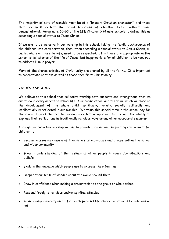The majority of acts of worship must be of a "broadly Christian character", and those that are must reflect the broad traditions of Christian belief without being denominational. Paragraphs 60-63 of the DFE Circular 1/94 asks schools to define this as according a special status to Jesus Christ.

If we are to be inclusive in our worship in this school, taking the family backgrounds of the children into consideration, then, when according a special status to Jesus Christ, all pupils, whatever their beliefs, need to be respected. It is therefore appropriate in this school to tell stories of the life of Jesus, but inappropriate for all children to be required to address Him in prayer.

Many of the characteristics of Christianity are shared by all the faiths. It is important to concentrate on these as well as those specific to Christianity.

# **VALUES AND AIMS**

We believe at this school that collective worship both supports and strengthens what we aim to do in every aspect of school life. Our caring ethos, and the value which we place on the development of the whole child; spiritually, morally, socially, culturally and intellectually is reflected in our worship. We value this special time in the school day for the space it gives children to develop a reflective approach to life and the ability to express their reflections in traditionally religious ways or any other appropriate manner.

Through our collective worship we aim to provide a caring and supporting environment for children to:

- Become increasingly aware of themselves as individuals and groups within the school and wider community
- Grow in understanding of the feelings of other people in every day situations and beliefs
- Explore the language which people use to express their feelings
- Deepen their sense of wonder about the world around them
- Grow in confidence when making a presentation to the group or whole school
- Respond freely to religious and/or spiritual stimulus
- Acknowledge diversity and affirm each person's life stance, whether it be religious or not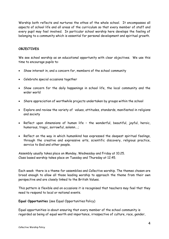Worship both reflects and nurtures the ethos of the whole school. It encompasses all aspects of school life and all areas of the curriculum so that every member of staff and every pupil may feel involved. In particular school worship here develops the feeling of belonging to a community which is essential for personal development and spiritual growth.

# **OBJECTIVES**

We see school worship as an educational opportunity with clear objectives. We use this time to encourage pupils to:

- Show interest in, and a concern for, members of the school community
- Celebrate special occasions together
- Show concern for the daily happenings in school life, the local community and the wider world
- Share appreciation of worthwhile projects undertaken by groups within the school
- Explore and review the variety of values, attitudes, standards, manifested in religions and society
- Reflect upon dimensions of human life the wonderful, beautiful, joyful, heroic, humorous, tragic, sorrowful, solemn….;
- Reflect on the way in which humankind has expressed the deepest spiritual feelings, through the creative and expressive arts, scientific discovery, religious practice, service to God and other people.

Assembly usually takes place on Monday, Wednesday and Friday at 10.25. Class based worship takes place on Tuesday and Thursday at 12.45.

Each week there is a theme for assemblies and Collective worship. The themes chosen are broad enough to allow all those leading worship to approach the theme from their own perspective and are closely linked to the British Values.

This pattern is flexible and on occasions it is recognised that teachers may feel that they need to respond to local or national events.

**Equal Opportunities** (see Equal Opportunities Policy)

Equal opportunities is about ensuring that every member of the school community is regarded as being of equal worth and importance, irrespective of culture, race, gender,